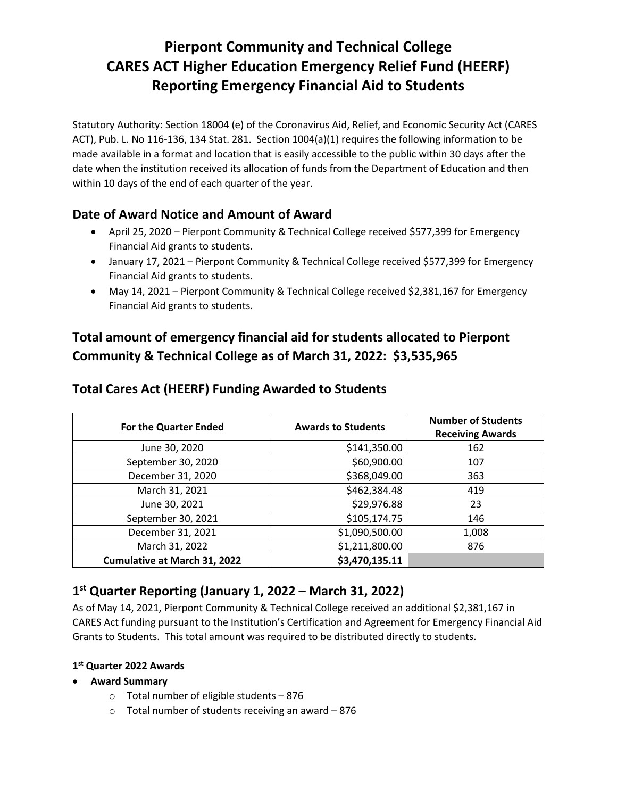# **Pierpont Community and Technical College CARES ACT Higher Education Emergency Relief Fund (HEERF) Reporting Emergency Financial Aid to Students**

Statutory Authority: Section 18004 (e) of the Coronavirus Aid, Relief, and Economic Security Act (CARES ACT), Pub. L. No 116-136, 134 Stat. 281. Section 1004(a)(1) requires the following information to be made available in a format and location that is easily accessible to the public within 30 days after the date when the institution received its allocation of funds from the Department of Education and then within 10 days of the end of each quarter of the year.

### **Date of Award Notice and Amount of Award**

- April 25, 2020 Pierpont Community & Technical College received \$577,399 for Emergency Financial Aid grants to students.
- January 17, 2021 Pierpont Community & Technical College received \$577,399 for Emergency Financial Aid grants to students.
- May 14, 2021 Pierpont Community & Technical College received \$2,381,167 for Emergency Financial Aid grants to students.

## **Total amount of emergency financial aid for students allocated to Pierpont Community & Technical College as of March 31, 2022: \$3,535,965**

| <b>For the Quarter Ended</b>        | <b>Awards to Students</b> | <b>Number of Students</b><br><b>Receiving Awards</b> |
|-------------------------------------|---------------------------|------------------------------------------------------|
| June 30, 2020                       | \$141,350.00              | 162                                                  |
| September 30, 2020                  | \$60,900.00               | 107                                                  |
| December 31, 2020                   | \$368,049.00              | 363                                                  |
| March 31, 2021                      | \$462,384.48              | 419                                                  |
| June 30, 2021                       | \$29,976.88               | 23                                                   |
| September 30, 2021                  | \$105,174.75              | 146                                                  |
| December 31, 2021                   | \$1,090,500.00            | 1,008                                                |
| March 31, 2022                      | \$1,211,800.00            | 876                                                  |
| <b>Cumulative at March 31, 2022</b> | \$3,470,135.11            |                                                      |

### **Total Cares Act (HEERF) Funding Awarded to Students**

## **1 st Quarter Reporting (January 1, 2022 – March 31, 2022)**

As of May 14, 2021, Pierpont Community & Technical College received an additional \$2,381,167 in CARES Act funding pursuant to the Institution's Certification and Agreement for Emergency Financial Aid Grants to Students. This total amount was required to be distributed directly to students.

### **1 st Quarter 2022 Awards**

- **Award Summary**
	- $\circ$  Total number of eligible students 876
	- o Total number of students receiving an award 876